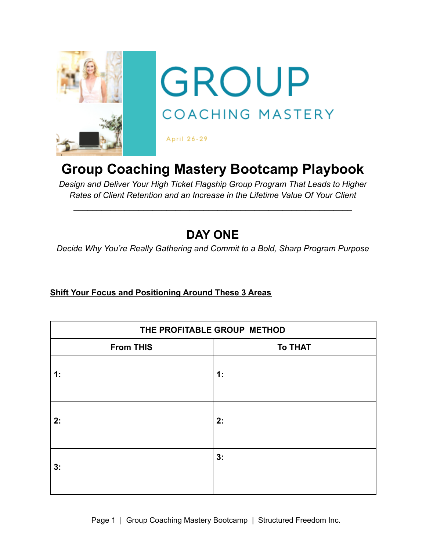

# **Group Coaching Mastery Bootcamp Playbook**

*Design and Deliver Your High Ticket Flagship Group Program That Leads to Higher Rates of Client Retention and an Increase in the Lifetime Value Of Your Client*

 $\mathcal{L}_\text{max} = \mathcal{L}_\text{max} = \mathcal{L}_\text{max} = \mathcal{L}_\text{max} = \mathcal{L}_\text{max} = \mathcal{L}_\text{max} = \mathcal{L}_\text{max} = \mathcal{L}_\text{max} = \mathcal{L}_\text{max} = \mathcal{L}_\text{max} = \mathcal{L}_\text{max} = \mathcal{L}_\text{max} = \mathcal{L}_\text{max} = \mathcal{L}_\text{max} = \mathcal{L}_\text{max} = \mathcal{L}_\text{max} = \mathcal{L}_\text{max} = \mathcal{L}_\text{max} = \mathcal{$ 

# **DAY ONE**

*Decide Why You're Really Gathering and Commit to a Bold, Sharp Program Purpose*

### **Shift Your Focus and Positioning Around These 3 Areas**

| THE PROFITABLE GROUP METHOD |                |  |
|-----------------------------|----------------|--|
| <b>From THIS</b>            | <b>To THAT</b> |  |
| 1:                          | 1:             |  |
| 2:                          | 2:             |  |
| 3:                          | 3:             |  |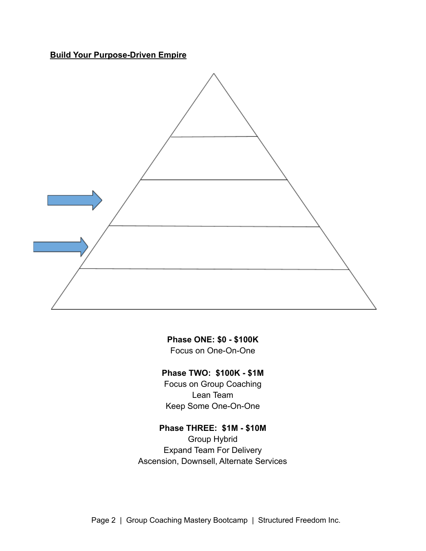**Build Your Purpose-Driven Empire**



**Phase ONE: \$0 - \$100K** Focus on One-On-One

## **Phase TWO: \$100K - \$1M**

Focus on Group Coaching Lean Team Keep Some One-On-One

# **Phase THREE: \$1M - \$10M**

Group Hybrid Expand Team For Delivery Ascension, Downsell, Alternate Services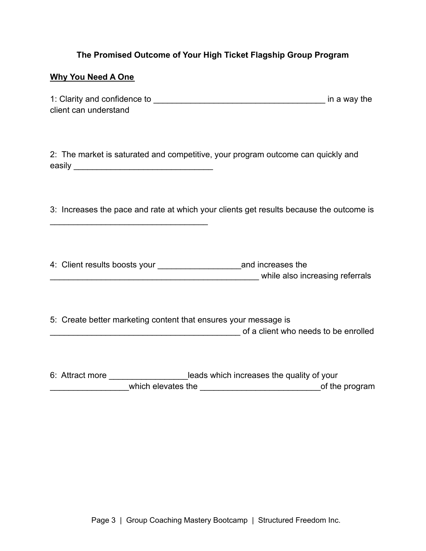#### **The Promised Outcome of Your High Ticket Flagship Group Program**

#### **Why You Need A One**

 $\mathcal{L}_\text{max}$  , where  $\mathcal{L}_\text{max}$  is the set of  $\mathcal{L}_\text{max}$ 

| 1: Clarity and confidence to | in a way the |
|------------------------------|--------------|
| client can understand        |              |

2: The market is saturated and competitive, your program outcome can quickly and easily **existence** 

3: Increases the pace and rate at which your clients get results because the outcome is

4: Client results boosts your \_\_\_\_\_\_\_\_\_\_\_\_\_\_\_\_\_\_and increases the while also increasing referrals

5: Create better marketing content that ensures your message is  $\bullet$  of a client who needs to be enrolled

6: Attract more \_\_\_\_\_\_\_\_\_\_\_\_\_\_\_\_\_\_\_\_\_leads which increases the quality of your which elevates the the state of the program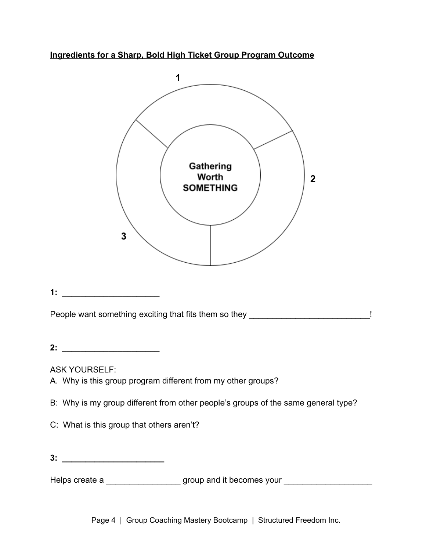**Ingredients for a Sharp, Bold High Ticket Group Program Outcome**



**3: \_\_\_\_\_\_\_\_\_\_\_\_\_\_\_\_\_\_\_\_\_\_**

Helps create a \_\_\_\_\_\_\_\_\_\_\_\_\_\_\_\_\_\_\_\_\_ group and it becomes your \_\_\_\_\_\_\_\_\_\_\_\_\_\_\_\_\_

Page 4 | Group Coaching Mastery Bootcamp | Structured Freedom Inc.